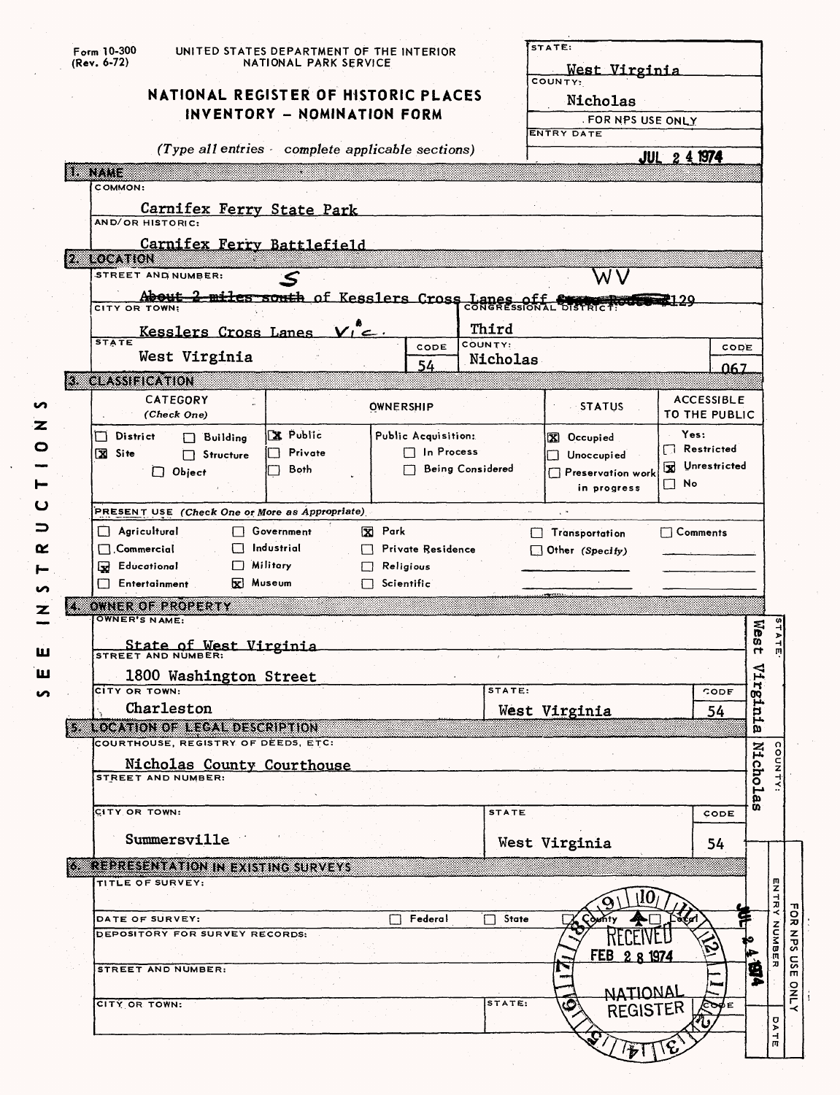| Form 10-300<br>(Rev. 6-72)<br>NATIONAL REGISTER OF HISTORIC PLACES              | UNITED STATES DEPARTMENT OF THE INTERIOR<br>NATIONAL PARK SERVICE |                   |                     |                         | STATE:<br>West Virginia<br>COUNTY:<br>Nicholas |                                           |                     |                                                          |
|---------------------------------------------------------------------------------|-------------------------------------------------------------------|-------------------|---------------------|-------------------------|------------------------------------------------|-------------------------------------------|---------------------|----------------------------------------------------------|
|                                                                                 | INVENTORY - NOMINATION FORM                                       |                   |                     |                         | FOR NPS USE ONLY<br>ENTRY DATE                 |                                           |                     |                                                          |
| (Type all entries complete applicable sections)                                 |                                                                   |                   |                     |                         |                                                | <b>JUL 2 4 1974</b>                       |                     |                                                          |
| unung                                                                           |                                                                   |                   |                     |                         |                                                |                                           |                     |                                                          |
| COMMON:                                                                         |                                                                   |                   |                     |                         |                                                |                                           |                     |                                                          |
| Carnifex Ferry State Park<br>AND/OR HISTORIC:                                   |                                                                   |                   |                     |                         |                                                |                                           |                     |                                                          |
| Carnifex Ferry Battlefield                                                      |                                                                   |                   |                     |                         |                                                |                                           |                     |                                                          |
| <b>2 LOCATION</b><br>STREET AND NUMBER:                                         |                                                                   |                   |                     |                         |                                                |                                           |                     |                                                          |
|                                                                                 |                                                                   |                   |                     |                         | N.                                             |                                           |                     |                                                          |
| About 2 miles south of Kesslers Cross Lanes off State Products<br>CITY OR TOWN: |                                                                   |                   |                     |                         |                                                |                                           |                     |                                                          |
| Kesslers Cross Lanes                                                            |                                                                   |                   |                     | Third                   |                                                |                                           |                     |                                                          |
| <b>STATE</b>                                                                    |                                                                   |                   | CODE                | COUNTY:                 |                                                | CODE                                      |                     |                                                          |
| West Virginia                                                                   |                                                                   |                   | 54                  | Nicholas                |                                                | 067                                       |                     |                                                          |
| <b>3 CLASSIFICATION</b>                                                         |                                                                   |                   |                     |                         |                                                |                                           |                     |                                                          |
| <b>CATEGORY</b><br>(Check One)                                                  |                                                                   |                   | <b>OWNERSHIP</b>    |                         | <b>STATUS</b>                                  | <b>ACCESSIBLE</b><br><b>TO THE PUBLIC</b> |                     |                                                          |
| District<br>$\Box$ Building                                                     | <b>X</b> Public                                                   |                   | Public Acquisition: |                         | X Occupied                                     | Yes:<br>Restricted                        |                     |                                                          |
| X Site<br>$\Box$ Structure                                                      | Private                                                           |                   | $\Box$ In Process   |                         | Unoccupied                                     | Vnrestricted                              |                     |                                                          |
| $\Box$ Object                                                                   | Both                                                              |                   |                     | <b>Being Considered</b> | Preservation work                              | $\Box$ No                                 |                     |                                                          |
|                                                                                 |                                                                   |                   |                     |                         | in progress                                    |                                           |                     |                                                          |
|                                                                                 |                                                                   |                   |                     |                         |                                                |                                           |                     |                                                          |
| PRESENT USE (Check One or More as Appropriate)                                  |                                                                   |                   |                     |                         | $\sim$                                         |                                           |                     |                                                          |
| $\Box$ Agricultural                                                             | Government                                                        | X Park            |                     |                         | Transportation                                 | $\Box$ Comments                           |                     |                                                          |
| $\Box$ Commercial                                                               | Industrial                                                        |                   | Private Residence   |                         | $\Box$ Other (Specify)                         |                                           |                     |                                                          |
| <b>B</b> Educational<br>I J                                                     | Military                                                          | $\mathbf{1}$      | Religious           |                         |                                                |                                           |                     |                                                          |
| <b>Filtertainment</b>                                                           | $\overline{\mathbf{x}}$ Museum                                    | $\Box$ Scientific |                     |                         |                                                |                                           |                     |                                                          |
| ovneroleroperty<br>OWNER'S NAME:                                                |                                                                   |                   |                     |                         |                                                |                                           |                     |                                                          |
|                                                                                 |                                                                   |                   |                     |                         |                                                |                                           |                     |                                                          |
| State of West Virginia                                                          |                                                                   |                   |                     |                         |                                                |                                           | wes<br>$\mathbf{r}$ |                                                          |
| 1800 Washington Street                                                          |                                                                   |                   |                     |                         |                                                |                                           | ₫                   |                                                          |
| CITY OR TOWN:                                                                   |                                                                   |                   |                     | STATE:                  |                                                | CODE                                      |                     |                                                          |
| Charleston                                                                      |                                                                   |                   |                     |                         | West Virginia                                  | 54                                        |                     |                                                          |
| <b>SALOCATION OF HECAL DESCRIPTION</b>                                          |                                                                   |                   |                     |                         |                                                |                                           | rginia              |                                                          |
| COURTHOUSE, REGISTRY OF DEEDS, ETC:                                             |                                                                   |                   |                     |                         |                                                |                                           |                     |                                                          |
| Nicholas County Courthouse<br><b>STREET AND NUMBER:</b>                         |                                                                   |                   |                     |                         |                                                |                                           |                     |                                                          |
|                                                                                 |                                                                   |                   |                     |                         |                                                |                                           |                     |                                                          |
| CITY OR TOWN:                                                                   |                                                                   |                   |                     | <b>STATE</b>            |                                                | CODE                                      | <b>Nicholas</b>     |                                                          |
| Summersville                                                                    |                                                                   |                   |                     |                         |                                                |                                           |                     |                                                          |
|                                                                                 |                                                                   |                   |                     |                         | West Virginia                                  | 54                                        |                     |                                                          |
| <b>6 REPRESENTATION IN EXISTING SURVEYS</b>                                     |                                                                   |                   |                     |                         |                                                |                                           |                     |                                                          |
| TITLE OF SURVEY:                                                                |                                                                   |                   |                     |                         |                                                |                                           |                     |                                                          |
| DATE OF SURVEY:                                                                 |                                                                   |                   | Federal             | $\Box$ State            |                                                | š€ø                                       |                     |                                                          |
| DEPOSITORY FOR SURVEY RECORDS:                                                  |                                                                   |                   |                     |                         |                                                |                                           |                     |                                                          |
|                                                                                 |                                                                   |                   |                     |                         | nll'L<br>FEB 2 8 1974                          |                                           |                     |                                                          |
| STREET AND NUMBER:                                                              |                                                                   |                   |                     |                         |                                                |                                           |                     |                                                          |
|                                                                                 |                                                                   |                   |                     |                         | NATIONAL                                       |                                           | <b>T 1974</b>       |                                                          |
| CITY OR TOWN:                                                                   |                                                                   |                   |                     | STATE:                  | <b>REGISTER</b>                                | ెంల్∈                                     |                     | <b>STATE</b><br>m<br>Z<br>낲<br>NU <sub>N</sub><br>σ<br>⋗ |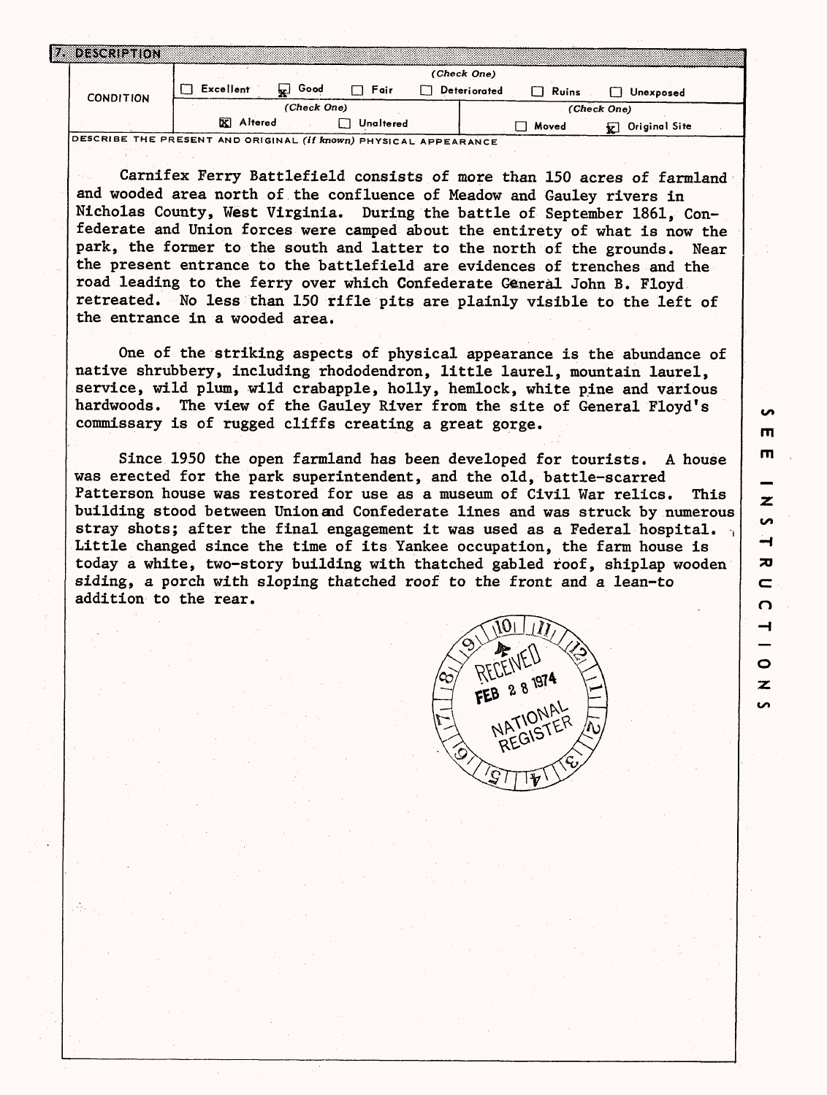| ងនទេរាង          |                           |                                    |
|------------------|---------------------------|------------------------------------|
|                  |                           | (Check One)                        |
| <b>CONDITION</b> | Excellent<br>Good<br>Fair | Deteriorated<br>Ruins<br>Unexposed |
|                  | (Check One)               | (Check One)                        |
|                  | Altered<br>Unaltered      | Original Site<br>Moved             |

**DESCRIBE THE PRESENT AND ORIGINAL (if known) PHYSICAL APPEARANCE**

Carnifex Ferry Battlefield consists of more than 150 acres of farmland and wooded area north of the confluence of Meadow and Gauley rivers in Nicholas County, West Virginia. During the battle of September 1861, Confederate and Union forces were camped about the entirety of what is now the park, the former to the south and latter to the north of the grounds. Near the present entrance to the battlefield are evidences of trenches and the road leading to the ferry over which Confederate General John B. Floyd retreated. No less than 150 rifle pits are plainly visible to the left of the entrance in a wooded area.

One of the striking aspects of physical appearance is the abundance of native shrubbery, including rhododendron, little laurel, mountain laurel, service, wild plum, wild crabapple, holly, hemlock, white pine and various hardwoods. The view of the Gauley River from the site of General Floyd's commissary is of rugged cliffs creating a great gorge.

Since 1950 the open farmland has been developed for tourists. A house was erected for the park superintendent, and the old, battle-scarred Patterson house was restored for use as a museum of Civil War relics. This building stood between Union and Confederate lines and was struck by numerous stray shots; after the final engagement it was used as a Federal hospital. Little changed since the time of its Yankee occupation, the farm house is today a white, two-story building with thatched gabled roof, shiplap wooden siding, a porch with sloping thatched roof to the front and a lean-to addition to the rear.



**rn**

 $\overline{z}$  $\overline{a}$  $\rightarrow$  $\overline{\mathbf{x}}$  $\sim$ O ⊣

 $\bullet$  $\overline{z}$ **S** 

**in**  $\mathbf{m}$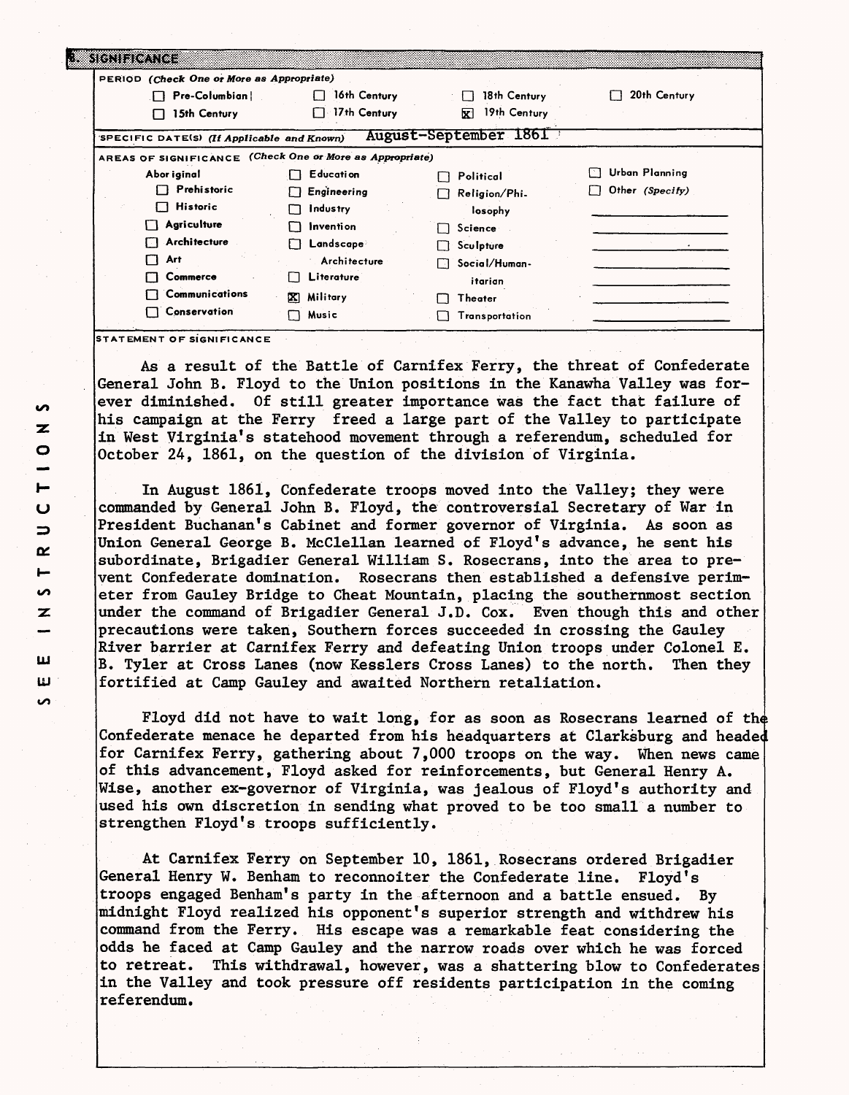| PERIOD (Check One or More as Appropriate)                |                         |                       |                 |
|----------------------------------------------------------|-------------------------|-----------------------|-----------------|
| Pre-Columbian  <br>П.                                    | 16th Century            | 18th Century          | 20th Century    |
| 15th Century<br>1 I                                      | 17th Century            | 19th Century<br>囡     |                 |
| SPECIFIC DATE(S) (If Applicable and Known)               |                         | August-September 1861 |                 |
| AREAS OF SIGNIFICANCE (Check One or More as Appropriate) |                         |                       |                 |
| Abor iginal                                              | Education<br>П          | Political             | Urban Planning  |
| Prehistoric                                              | Engineering<br>П        | Religion/Phi.         | Other (Specify) |
| <b>Historic</b><br>. .                                   | Industry<br>п           | losophy               |                 |
| Agriculture                                              | <b>Invention</b><br>۱۱. | Science<br>l 1        |                 |
| Architecture                                             | Landscape               | Sculpture             |                 |
| Art<br>П                                                 | Architecture            | Social/Human-<br>ΓЗ   |                 |
| Commerce                                                 | Literature              | itarian               |                 |
| Communications                                           | Military<br>x           | Theater               |                 |
| Conservation<br>┓                                        | Music                   | Transportation        |                 |

As a result of the Battle of Carnifex Ferry, the threat of Confederate General John B. Floyd to the Union positions in the Kanawha Valley was forever diminished. Of still greater importance was the fact that failure of his campaign at the Ferry freed a large part of the Valley to participate in West Virginia's statehood movement through a referendum, scheduled for October 24, 1861, on the question of the division of Virginia.

In August 1861, Confederate troops moved into the Valley; they were commanded by General John B. Floyd, the controversial Secretary of War in President Buchanan's Cabinet and former governor of Virginia. As soon as Union General George B. McClellan learned of Floyd's advance, he sent his subordinate, Brigadier General William S. Rosecrans, into the area to prevent Confederate domination. Rosecrans then established a defensive perimeter from Gauley Bridge to Cheat Mountain, placing the southernmost section under the command of Brigadier General J.D. Cox. Even though this and other precautions were taken, Southern forces succeeded in crossing the Gauley River barrier at Carnifex Ferry and defeating Union troops under Colonel E. B. Tyler at Cross Lanes (now Kesslers Cross Lanes) to the north. Then they fortified at Camp Gauley and awaited Northern retaliation.

Floyd did not have to wait long, for as soon as Rosecrans learned of the Confederate menace he departed from his headquarters at Clarksburg and heade for Carnifex Ferry, gathering about 7,000 troops on the way. When news came of this advancement, Floyd asked for reinforcements, but General Henry A. Wise, another ex-governor of Virginia, was jealous of Floyd's authority and used his own discretion in sending what proved to be too small a number to strengthen Floyd's troops sufficiently.

At Carnifex Ferry on September 10, 1861, Rosecrans ordered Brigadier General Henry W. Benham to reconnoiter the Confederate line. Floyd's troops engaged Benham's party in the afternoon and a battle ensued. By midnight Floyd realized his opponent's superior strength and withdrew his command from the Ferry. His escape was a remarkable feat considering the odds he faced at Camp Gauley and the narrow roads over which he was forced to retreat. This withdrawal, however, was a shattering blow to Confederates in the Valley and took pressure off residents participation in the coming referendum.